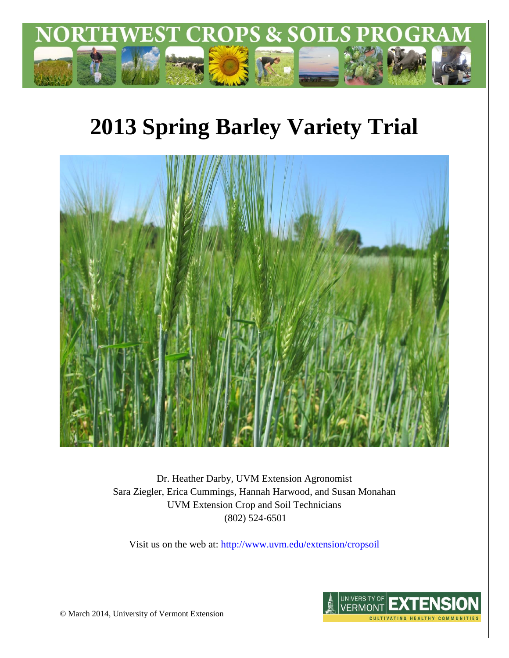

# **2013 Spring Barley Variety Trial**



Dr. Heather Darby, UVM Extension Agronomist Sara Ziegler, Erica Cummings, Hannah Harwood, and Susan Monahan UVM Extension Crop and Soil Technicians (802) 524-6501

Visit us on the web at:<http://www.uvm.edu/extension/cropsoil>



© March 2014, University of Vermont Extension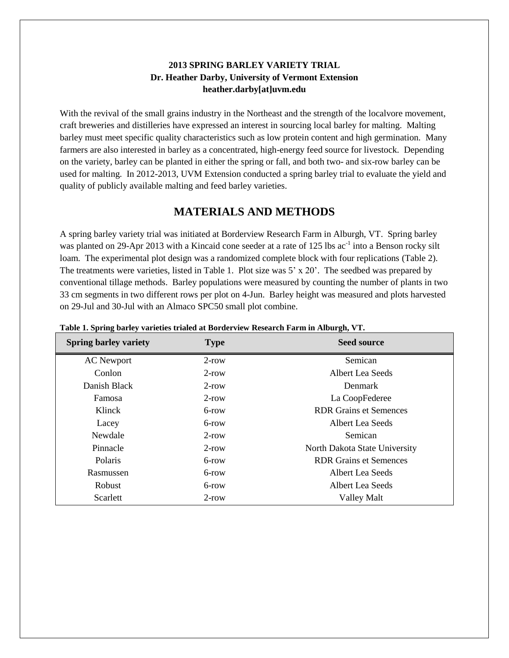#### **2013 SPRING BARLEY VARIETY TRIAL Dr. Heather Darby, University of Vermont Extension heather.darby[at]uvm.edu**

With the revival of the small grains industry in the Northeast and the strength of the localvore movement, craft breweries and distilleries have expressed an interest in sourcing local barley for malting. Malting barley must meet specific quality characteristics such as low protein content and high germination. Many farmers are also interested in barley as a concentrated, high-energy feed source for livestock. Depending on the variety, barley can be planted in either the spring or fall, and both two- and six-row barley can be used for malting. In 2012-2013, UVM Extension conducted a spring barley trial to evaluate the yield and quality of publicly available malting and feed barley varieties.

# **MATERIALS AND METHODS**

A spring barley variety trial was initiated at Borderview Research Farm in Alburgh, VT. Spring barley was planted on 29-Apr 2013 with a Kincaid cone seeder at a rate of 125 lbs ac<sup>-1</sup> into a Benson rocky silt loam. The experimental plot design was a randomized complete block with four replications (Table 2). The treatments were varieties, listed in Table 1. Plot size was 5' x 20'. The seedbed was prepared by conventional tillage methods. Barley populations were measured by counting the number of plants in two 33 cm segments in two different rows per plot on 4-Jun. Barley height was measured and plots harvested on 29-Jul and 30-Jul with an Almaco SPC50 small plot combine.

| <b>Spring barley variety</b> | <b>Type</b> | <b>Seed source</b>            |  |  |  |  |
|------------------------------|-------------|-------------------------------|--|--|--|--|
| <b>AC</b> Newport            | $2$ -row    | Semican                       |  |  |  |  |
| Conlon                       | $2$ -row    | Albert Lea Seeds              |  |  |  |  |
| Danish Black                 | $2$ -row    | Denmark                       |  |  |  |  |
| Famosa                       | $2$ -row    | La CoopFederee                |  |  |  |  |
| Klinck                       | 6-row       | <b>RDR</b> Grains et Semences |  |  |  |  |
| Lacey                        | 6-row       | <b>Albert Lea Seeds</b>       |  |  |  |  |
| Newdale                      | $2$ -row    | Semican                       |  |  |  |  |
| Pinnacle                     | $2$ -row    | North Dakota State University |  |  |  |  |
| Polaris                      | 6-row       | <b>RDR Grains et Semences</b> |  |  |  |  |
| Rasmussen                    | 6-row       | Albert Lea Seeds              |  |  |  |  |
| Robust                       | 6-row       | Albert Lea Seeds              |  |  |  |  |
| Scarlett                     | $2$ -row    | <b>Valley Malt</b>            |  |  |  |  |

|  |  |  | Table 1. Spring barley varieties trialed at Borderview Research Farm in Alburgh, VT. |  |  |
|--|--|--|--------------------------------------------------------------------------------------|--|--|
|  |  |  |                                                                                      |  |  |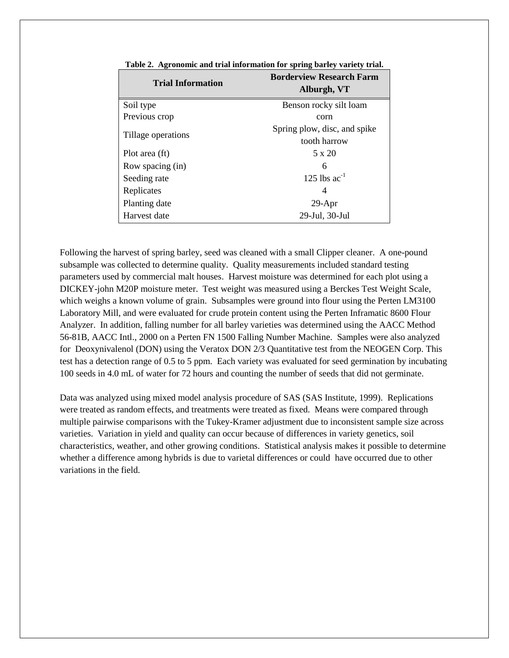| <b>Trial Information</b> | <b>Borderview Research Farm</b><br>Alburgh, VT |  |  |  |  |
|--------------------------|------------------------------------------------|--|--|--|--|
| Soil type                | Benson rocky silt loam                         |  |  |  |  |
| Previous crop            | corn                                           |  |  |  |  |
| Tillage operations       | Spring plow, disc, and spike                   |  |  |  |  |
|                          | tooth harrow                                   |  |  |  |  |
| Plot area (ft)           | 5 x 20                                         |  |  |  |  |
| Row spacing (in)         | 6                                              |  |  |  |  |
| Seeding rate             | 125 lbs $ac^{-1}$                              |  |  |  |  |
| Replicates               | 4                                              |  |  |  |  |
| Planting date            | $29-Apr$                                       |  |  |  |  |
| Harvest date             | 29-Jul, 30-Jul                                 |  |  |  |  |

**Table 2. Agronomic and trial information for spring barley variety trial.**

Following the harvest of spring barley, seed was cleaned with a small Clipper cleaner. A one-pound subsample was collected to determine quality. Quality measurements included standard testing parameters used by commercial malt houses. Harvest moisture was determined for each plot using a DICKEY-john M20P moisture meter. Test weight was measured using a Berckes Test Weight Scale, which weighs a known volume of grain. Subsamples were ground into flour using the Perten LM3100 Laboratory Mill, and were evaluated for crude protein content using the Perten Inframatic 8600 Flour Analyzer. In addition, falling number for all barley varieties was determined using the AACC Method 56-81B, AACC Intl., 2000 on a Perten FN 1500 Falling Number Machine. Samples were also analyzed for Deoxynivalenol (DON) using the Veratox DON 2/3 Quantitative test from the NEOGEN Corp. This test has a detection range of 0.5 to 5 ppm. Each variety was evaluated for seed germination by incubating 100 seeds in 4.0 mL of water for 72 hours and counting the number of seeds that did not germinate.

Data was analyzed using mixed model analysis procedure of SAS (SAS Institute, 1999). Replications were treated as random effects, and treatments were treated as fixed. Means were compared through multiple pairwise comparisons with the Tukey-Kramer adjustment due to inconsistent sample size across varieties. Variation in yield and quality can occur because of differences in variety genetics, soil characteristics, weather, and other growing conditions. Statistical analysis makes it possible to determine whether a difference among hybrids is due to varietal differences or could have occurred due to other variations in the field.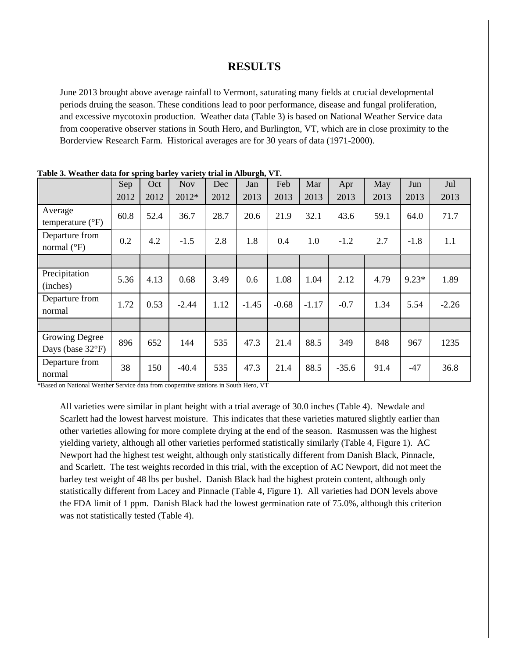#### **RESULTS**

June 2013 brought above average rainfall to Vermont, saturating many fields at crucial developmental periods druing the season. These conditions lead to poor performance, disease and fungal proliferation, and excessive mycotoxin production. Weather data (Table 3) is based on National Weather Service data from cooperative observer stations in South Hero, and Burlington, VT, which are in close proximity to the Borderview Research Farm. Historical averages are for 30 years of data (1971-2000).

|                                        | Sep  | Oct  | <b>Nov</b> | Dec  | Jan     | Feb     | Mar     | Apr     | May  | Jun     | Jul     |
|----------------------------------------|------|------|------------|------|---------|---------|---------|---------|------|---------|---------|
|                                        | 2012 | 2012 | 2012*      | 2012 | 2013    | 2013    | 2013    | 2013    | 2013 | 2013    | 2013    |
| Average<br>temperature $(^{\circ}F)$   | 60.8 | 52.4 | 36.7       | 28.7 | 20.6    | 21.9    | 32.1    | 43.6    | 59.1 | 64.0    | 71.7    |
| Departure from<br>normal $(^{\circ}F)$ | 0.2  | 4.2  | $-1.5$     | 2.8  | 1.8     | 0.4     | 1.0     | $-1.2$  | 2.7  | $-1.8$  | 1.1     |
|                                        |      |      |            |      |         |         |         |         |      |         |         |
| Precipitation<br>(inches)              | 5.36 | 4.13 | 0.68       | 3.49 | 0.6     | 1.08    | 1.04    | 2.12    | 4.79 | $9.23*$ | 1.89    |
| Departure from<br>normal               | 1.72 | 0.53 | $-2.44$    | 1.12 | $-1.45$ | $-0.68$ | $-1.17$ | $-0.7$  | 1.34 | 5.54    | $-2.26$ |
|                                        |      |      |            |      |         |         |         |         |      |         |         |
| Growing Degree<br>Days (base 32°F)     | 896  | 652  | 144        | 535  | 47.3    | 21.4    | 88.5    | 349     | 848  | 967     | 1235    |
| Departure from<br>normal               | 38   | 150  | $-40.4$    | 535  | 47.3    | 21.4    | 88.5    | $-35.6$ | 91.4 | $-47$   | 36.8    |

**Table 3. Weather data for spring barley variety trial in Alburgh, VT.**

\*Based on National Weather Service data from cooperative stations in South Hero, VT

All varieties were similar in plant height with a trial average of 30.0 inches (Table 4). Newdale and Scarlett had the lowest harvest moisture. This indicates that these varieties matured slightly earlier than other varieties allowing for more complete drying at the end of the season. Rasmussen was the highest yielding variety, although all other varieties performed statistically similarly (Table 4, Figure 1). AC Newport had the highest test weight, although only statistically different from Danish Black, Pinnacle, and Scarlett. The test weights recorded in this trial, with the exception of AC Newport, did not meet the barley test weight of 48 lbs per bushel. Danish Black had the highest protein content, although only statistically different from Lacey and Pinnacle (Table 4, Figure 1). All varieties had DON levels above the FDA limit of 1 ppm. Danish Black had the lowest germination rate of 75.0%, although this criterion was not statistically tested (Table 4).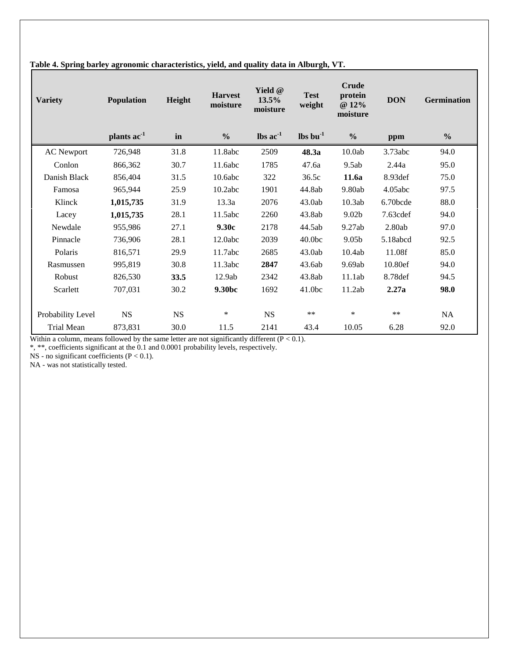| <b>Variety</b>    | <b>Population</b>       | Height    | <b>Harvest</b><br>moisture | Yield @<br>13.5%<br>moisture | <b>Test</b><br>weight | <b>Crude</b><br>protein<br>@ 12%<br>moisture | <b>DON</b> | <b>Germination</b> |
|-------------------|-------------------------|-----------|----------------------------|------------------------------|-----------------------|----------------------------------------------|------------|--------------------|
|                   | plants ac <sup>-1</sup> | in        | $\frac{0}{0}$              | $\text{lbs}$ ac $^{-1}$      | $\ln 1$               | $\frac{0}{0}$                                | ppm        | $\frac{6}{9}$      |
| <b>AC</b> Newport | 726,948                 | 31.8      | 11.8abc                    | 2509                         | 48.3a                 | 10.0ab                                       | 3.73abc    | 94.0               |
| Conlon            | 866,362                 | 30.7      | 11.6abc                    | 1785                         | 47.6a                 | 9.5ab                                        | 2.44a      | 95.0               |
| Danish Black      | 856,404                 | 31.5      | 10.6abc                    | 322                          | 36.5c                 | 11.6a                                        | 8.93def    | 75.0               |
| Famosa            | 965,944                 | 25.9      | 10.2abc                    | 1901                         | 44.8ab                | 9.80ab                                       | 4.05abc    | 97.5               |
| Klinck            | 1,015,735               | 31.9      | 13.3a                      | 2076                         | 43.0ab                | 10.3ab                                       | 6.70bcde   | 88.0               |
| Lacey             | 1,015,735               | 28.1      | 11.5abc                    | 2260                         | 43.8ab                | 9.02 <sub>b</sub>                            | 7.63cdef   | 94.0               |
| Newdale           | 955,986                 | 27.1      | 9.30c                      | 2178                         | 44.5ab                | 9.27ab                                       | 2.80ab     | 97.0               |
| Pinnacle          | 736,906                 | 28.1      | 12.0abc                    | 2039                         | 40.0 <sub>bc</sub>    | 9.05 <sub>b</sub>                            | 5.18abcd   | 92.5               |
| Polaris           | 816,571                 | 29.9      | 11.7abc                    | 2685                         | 43.0ab                | 10.4ab                                       | 11.08f     | 85.0               |
| Rasmussen         | 995,819                 | 30.8      | 11.3abc                    | 2847                         | 43.6ab                | 9.69ab                                       | 10.80ef    | 94.0               |
| Robust            | 826,530                 | 33.5      | 12.9ab                     | 2342                         | 43.8ab                | 11.1ab                                       | 8.78 def   | 94.5               |
| Scarlett          | 707,031                 | 30.2      | 9.30 <sub>bc</sub>         | 1692                         | 41.0 <sub>bc</sub>    | 11.2ab                                       | 2.27a      | 98.0               |
| Probability Level | <b>NS</b>               | <b>NS</b> | $\ast$                     | <b>NS</b>                    | $**$                  | *                                            | $**$       | <b>NA</b>          |
| <b>Trial Mean</b> | 873,831                 | 30.0      | 11.5                       | 2141                         | 43.4                  | 10.05                                        | 6.28       | 92.0               |

# **Table 4. Spring barley agronomic characteristics, yield, and quality data in Alburgh, VT.**

Within a column, means followed by the same letter are not significantly different  $(P < 0.1)$ .

\*, \*\*, coefficients significant at the 0.1 and 0.0001 probability levels, respectively.

NS - no significant coefficients ( $P < 0.1$ ).

NA - was not statistically tested.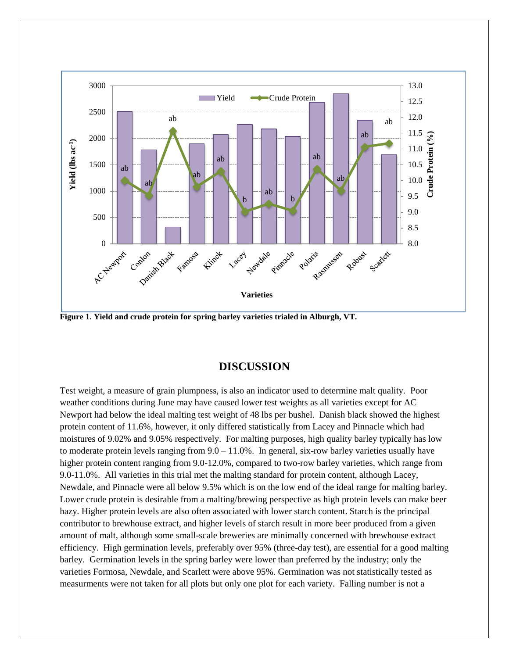

**Figure 1. Yield and crude protein for spring barley varieties trialed in Alburgh, VT.**

### **DISCUSSION**

Test weight, a measure of grain plumpness, is also an indicator used to determine malt quality. Poor weather conditions during June may have caused lower test weights as all varieties except for AC Newport had below the ideal malting test weight of 48 lbs per bushel. Danish black showed the highest protein content of 11.6%, however, it only differed statistically from Lacey and Pinnacle which had moistures of 9.02% and 9.05% respectively. For malting purposes, high quality barley typically has low to moderate protein levels ranging from  $9.0 - 11.0\%$ . In general, six-row barley varieties usually have higher protein content ranging from 9.0-12.0%, compared to two-row barley varieties, which range from 9.0-11.0%. All varieties in this trial met the malting standard for protein content, although Lacey, Newdale, and Pinnacle were all below 9.5% which is on the low end of the ideal range for malting barley. Lower crude protein is desirable from a malting/brewing perspective as high protein levels can make beer hazy. Higher protein levels are also often associated with lower starch content. Starch is the principal contributor to brewhouse extract, and higher levels of starch result in more beer produced from a given amount of malt, although some small-scale breweries are minimally concerned with brewhouse extract efficiency. High germination levels, preferably over 95% (three-day test), are essential for a good malting barley. Germination levels in the spring barley were lower than preferred by the industry; only the varieties Formosa, Newdale, and Scarlett were above 95%. Germination was not statistically tested as measurments were not taken for all plots but only one plot for each variety. Falling number is not a